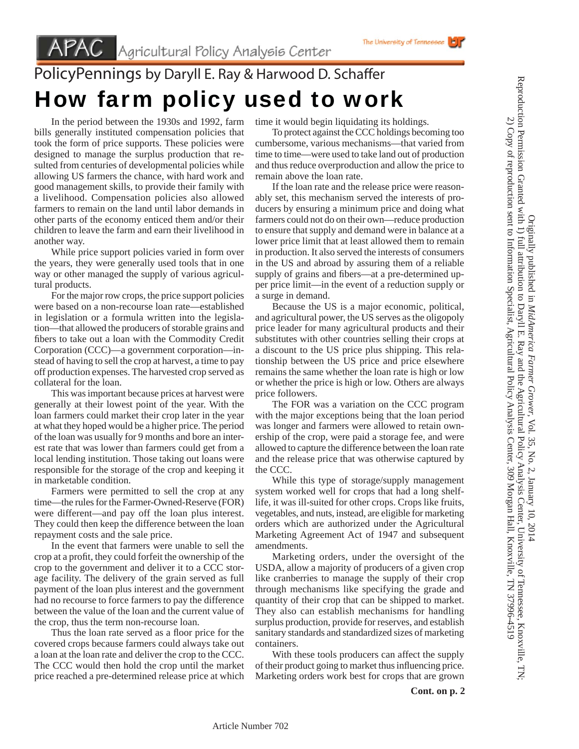## PolicyPennings by Daryll E. Ray & Harwood D. Schaffer How farm policy used to work

 In the period between the 1930s and 1992, farm bills generally instituted compensation policies that took the form of price supports. These policies were designed to manage the surplus production that resulted from centuries of developmental policies while allowing US farmers the chance, with hard work and good management skills, to provide their family with a livelihood. Compensation policies also allowed farmers to remain on the land until labor demands in other parts of the economy enticed them and/or their children to leave the farm and earn their livelihood in another way.

 While price support policies varied in form over the years, they were generally used tools that in one way or other managed the supply of various agricultural products.

 For the major row crops, the price support policies were based on a non-recourse loan rate—established in legislation or a formula written into the legislation—that allowed the producers of storable grains and fibers to take out a loan with the Commodity Credit Corporation (CCC)—a government corporation—instead of having to sell the crop at harvest, a time to pay off production expenses. The harvested crop served as collateral for the loan.

 This was important because prices at harvest were generally at their lowest point of the year. With the loan farmers could market their crop later in the year at what they hoped would be a higher price. The period of the loan was usually for 9 months and bore an interest rate that was lower than farmers could get from a local lending institution. Those taking out loans were responsible for the storage of the crop and keeping it in marketable condition.

 Farmers were permitted to sell the crop at any time—the rules for the Farmer-Owned-Reserve (FOR) were different—and pay off the loan plus interest. They could then keep the difference between the loan repayment costs and the sale price.

 In the event that farmers were unable to sell the crop at a profit, they could forfeit the ownership of the crop to the government and deliver it to a CCC storage facility. The delivery of the grain served as full payment of the loan plus interest and the government had no recourse to force farmers to pay the difference between the value of the loan and the current value of the crop, thus the term non-recourse loan.

Thus the loan rate served as a floor price for the covered crops because farmers could always take out a loan at the loan rate and deliver the crop to the CCC. The CCC would then hold the crop until the market price reached a pre-determined release price at which time it would begin liquidating its holdings.

 To protect against the CCC holdings becoming too cumbersome, various mechanisms—that varied from time to time—were used to take land out of production and thus reduce overproduction and allow the price to remain above the loan rate.

 If the loan rate and the release price were reasonably set, this mechanism served the interests of producers by ensuring a minimum price and doing what farmers could not do on their own—reduce production to ensure that supply and demand were in balance at a lower price limit that at least allowed them to remain in production. It also served the interests of consumers in the US and abroad by assuring them of a reliable supply of grains and fibers—at a pre-determined upper price limit—in the event of a reduction supply or a surge in demand.

 Because the US is a major economic, political, and agricultural power, the US serves as the oligopoly price leader for many agricultural products and their substitutes with other countries selling their crops at a discount to the US price plus shipping. This relationship between the US price and price elsewhere remains the same whether the loan rate is high or low or whether the price is high or low. Others are always price followers.

 The FOR was a variation on the CCC program with the major exceptions being that the loan period was longer and farmers were allowed to retain ownership of the crop, were paid a storage fee, and were allowed to capture the difference between the loan rate and the release price that was otherwise captured by the CCC.

 While this type of storage/supply management system worked well for crops that had a long shelflife, it was ill-suited for other crops. Crops like fruits, vegetables, and nuts, instead, are eligible for marketing orders which are authorized under the Agricultural Marketing Agreement Act of 1947 and subsequent amendments.

 Marketing orders, under the oversight of the USDA, allow a majority of producers of a given crop like cranberries to manage the supply of their crop through mechanisms like specifying the grade and quantity of their crop that can be shipped to market. They also can establish mechanisms for handling surplus production, provide for reserves, and establish sanitary standards and standardized sizes of marketing containers.

 With these tools producers can affect the supply of their product going to market thus influencing price. Marketing orders work best for crops that are grown